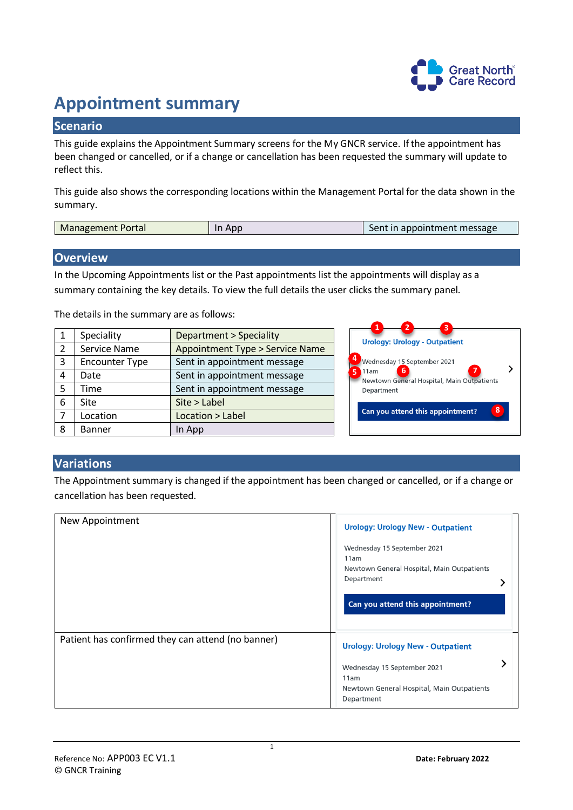

## **Appointment summary**

## **Scenario**

This guide explains the Appointment Summary screens for the My GNCR service. If the appointment has been changed or cancelled, or if a change or cancellation has been requested the summary will update to reflect this.

This guide also shows the corresponding locations within the Management Portal for the data shown in the summary.

| <b>Management Portal</b> | App | Sent in appointment message |
|--------------------------|-----|-----------------------------|
|                          |     |                             |

## **Overview**

In the Upcoming Appointments list or the Past appointments list the appointments will display as a summary containing the key details. To view the full details the user clicks the summary panel.

The details in the summary are as follows:

| 1              | Speciality            | <b>Department &gt; Speciality</b>         |
|----------------|-----------------------|-------------------------------------------|
| $\overline{2}$ | Service Name          | <b>Appointment Type &gt; Service Name</b> |
| 3              | <b>Encounter Type</b> | Sent in appointment message               |
| 4              | Date                  | Sent in appointment message               |
| 5              | Time                  | Sent in appointment message               |
| 6              | Site                  | Site > Label                              |
| 7              | Location              | Location > Label                          |
| 8              | <b>Banner</b>         | In App                                    |



## **Variations**

The Appointment summary is changed if the appointment has been changed or cancelled, or if a change or cancellation has been requested.

| New Appointment                                   | <b>Urology: Urology New - Outpatient</b>                                                                                            |
|---------------------------------------------------|-------------------------------------------------------------------------------------------------------------------------------------|
|                                                   | Wednesday 15 September 2021<br>11am<br>Newtown General Hospital, Main Outpatients<br>Department<br>Can you attend this appointment? |
| Patient has confirmed they can attend (no banner) | <b>Urology: Urology New - Outpatient</b>                                                                                            |
|                                                   | Wednesday 15 September 2021<br>11am<br>Newtown General Hospital, Main Outpatients<br>Department                                     |